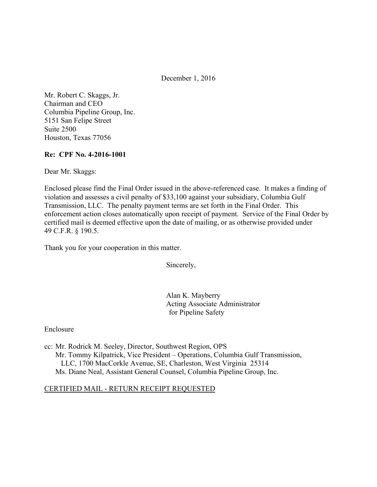December 1, 2016

Mr. Robert C. Skaggs, Jr. Chairman and CEO Columbia Pipeline Group, Inc. 5151 San Felipe Street Suite 2500 Houston, Texas 77056

### **Re: CPF No. 4-2016-1001**

Dear Mr. Skaggs:

Enclosed please find the Final Order issued in the above-referenced case. It makes a finding of violation and assesses a civil penalty of \$33,100 against your subsidiary, Columbia Gulf Transmission, LLC. The penalty payment terms are set forth in the Final Order. This enforcement action closes automatically upon receipt of payment. Service of the Final Order by certified mail is deemed effective upon the date of mailing, or as otherwise provided under 49 C.F.R. § 190.5.

Thank you for your cooperation in this matter.

Sincerely,

Alan K. Mayberry Acting Associate Administrator for Pipeline Safety

Enclosure

cc: Mr. Rodrick M. Seeley, Director, Southwest Region, OPS Mr. Tommy Kilpatrick, Vice President – Operations, Columbia Gulf Transmission, LLC, 1700 MacCorkle Avenue, SE, Charleston, West Virginia 25314 Ms. Diane Neal, Assistant General Counsel, Columbia Pipeline Group, Inc.

#### CERTIFIED MAIL - RETURN RECEIPT REQUESTED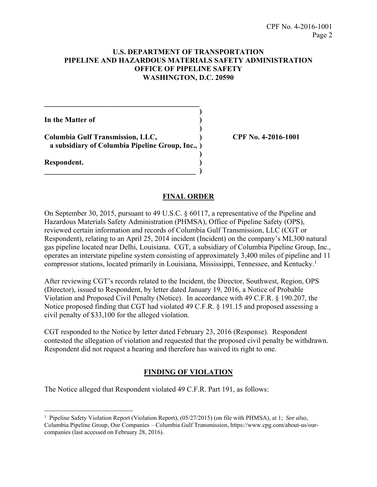## **U.S. DEPARTMENT OF TRANSPORTATION PIPELINE AND HAZARDOUS MATERIALS SAFETY ADMINISTRATION OFFICE OF PIPELINE SAFETY WASHINGTON, D.C. 20590**

**In the Matter of )** 

**Columbia Gulf Transmission, LLC, ) CPF No. 4-2016-1001 a subsidiary of Columbia Pipeline Group, Inc., )** 

 **)** 

 $\overline{\phantom{a}}$  ,  $\overline{\phantom{a}}$  ,  $\overline{\phantom{a}}$  ,  $\overline{\phantom{a}}$  ,  $\overline{\phantom{a}}$  ,  $\overline{\phantom{a}}$  ,  $\overline{\phantom{a}}$  ,  $\overline{\phantom{a}}$  ,  $\overline{\phantom{a}}$  ,  $\overline{\phantom{a}}$  ,  $\overline{\phantom{a}}$  ,  $\overline{\phantom{a}}$  ,  $\overline{\phantom{a}}$  ,  $\overline{\phantom{a}}$  ,  $\overline{\phantom{a}}$  ,  $\overline{\phantom{a}}$ 

 **)** 

**\_\_\_\_\_\_\_\_\_\_\_\_\_\_\_\_\_\_\_\_\_\_\_\_\_\_\_\_\_\_\_\_\_\_\_\_\_\_\_\_\_\_ )** 

**Respondent. )** 

# **FINAL ORDER**

On September 30, 2015, pursuant to 49 U.S.C. § 60117, a representative of the Pipeline and Hazardous Materials Safety Administration (PHMSA), Office of Pipeline Safety (OPS), reviewed certain information and records of Columbia Gulf Transmission, LLC (CGT or Respondent), relating to an April 25, 2014 incident (Incident) on the company's ML300 natural gas pipeline located near Delhi, Louisiana. CGT, a subsidiary of Columbia Pipeline Group, Inc., operates an interstate pipeline system consisting of approximately 3,400 miles of pipeline and 11 compressor stations, located primarily in Louisiana, Mississippi, Tennessee, and Kentucky.<sup>1</sup>

After reviewing CGT's records related to the Incident, the Director, Southwest, Region, OPS (Director), issued to Respondent, by letter dated January 19, 2016, a Notice of Probable Violation and Proposed Civil Penalty (Notice). In accordance with 49 C.F.R. § 190.207, the Notice proposed finding that CGT had violated 49 C.F.R. § 191.15 and proposed assessing a civil penalty of \$33,100 for the alleged violation.

CGT responded to the Notice by letter dated February 23, 2016 (Response). Respondent contested the allegation of violation and requested that the proposed civil penalty be withdrawn. Respondent did not request a hearing and therefore has waived its right to one.

# **FINDING OF VIOLATION**

The Notice alleged that Respondent violated 49 C.F.R. Part 191, as follows:

 $\overline{a}$ 1 Pipeline Safety Violation Report (Violation Report), (05/27/2015) (on file with PHMSA), at 1; *See also,* 

Columbia Pipeline Group, Our Companies – Columbia Gulf Transmission, https://www.cpg.com/about-us/ourcompanies (last accessed on February 28, 2016).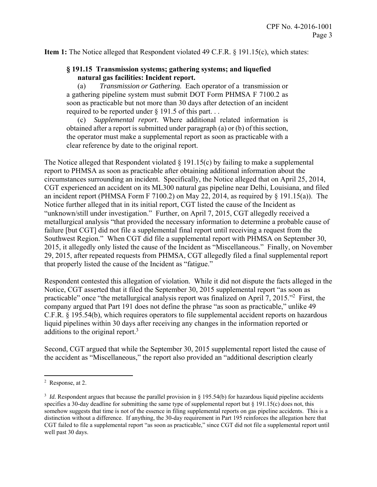**Item 1:** The Notice alleged that Respondent violated 49 C.F.R. § 191.15(c), which states:

## **§ 191.15 Transmission systems; gathering systems; and liquefied natural gas facilities: Incident report.**

(a) *Transmission or Gathering.* Each operator of a transmission or a gathering pipeline system must submit DOT Form PHMSA F 7100.2 as soon as practicable but not more than 30 days after detection of an incident required to be reported under § 191.5 of this part. . .

 (c) *Supplemental report*. Where additional related information is obtained after a report is submitted under paragraph (a) or (b) of this section, the operator must make a supplemental report as soon as practicable with a clear reference by date to the original report.

The Notice alleged that Respondent violated  $\S$  191.15(c) by failing to make a supplemental report to PHMSA as soon as practicable after obtaining additional information about the circumstances surrounding an incident. Specifically, the Notice alleged that on April 25, 2014, CGT experienced an accident on its ML300 natural gas pipeline near Delhi, Louisiana, and filed an incident report (PHMSA Form F 7100.2) on May 22, 2014, as required by § 191.15(a)). The Notice further alleged that in its initial report, CGT listed the cause of the Incident as "unknown/still under investigation." Further, on April 7, 2015, CGT allegedly received a metallurgical analysis "that provided the necessary information to determine a probable cause of failure [but CGT] did not file a supplemental final report until receiving a request from the Southwest Region." When CGT did file a supplemental report with PHMSA on September 30, 2015, it allegedly only listed the cause of the Incident as "Miscellaneous." Finally, on November 29, 2015, after repeated requests from PHMSA, CGT allegedly filed a final supplemental report that properly listed the cause of the Incident as "fatigue."

Respondent contested this allegation of violation. While it did not dispute the facts alleged in the Notice, CGT asserted that it filed the September 30, 2015 supplemental report "as soon as practicable" once "the metallurgical analysis report was finalized on April 7, 2015."<sup>2</sup> First, the company argued that Part 191 does not define the phrase "as soon as practicable," unlike 49 C.F.R. § 195.54(b), which requires operators to file supplemental accident reports on hazardous liquid pipelines within 30 days after receiving any changes in the information reported or additions to the original report. $3$ 

Second, CGT argued that while the September 30, 2015 supplemental report listed the cause of the accident as "Miscellaneous," the report also provided an "additional description clearly

 $\overline{a}$ 

<sup>2</sup> Response, at 2.

<sup>&</sup>lt;sup>3</sup> *Id.* Respondent argues that because the parallel provision in § 195.54(b) for hazardous liquid pipeline accidents specifies a 30-day deadline for submitting the same type of supplemental report but  $\S$  191.15(c) does not, this somehow suggests that time is not of the essence in filing supplemental reports on gas pipeline accidents. This is a distinction without a difference. If anything, the 30-day requirement in Part 195 reinforces the allegation here that CGT failed to file a supplemental report "as soon as practicable," since CGT did not file a supplemental report until well past 30 days.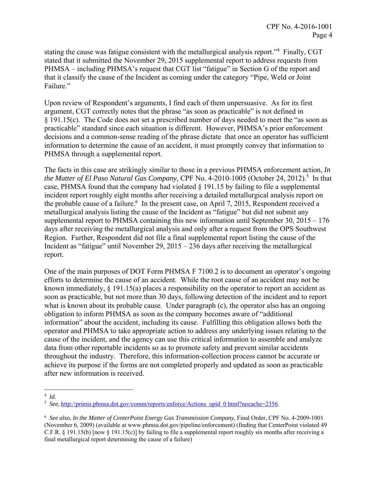stating the cause was fatigue consistent with the metallurgical analysis report."<sup>4</sup> Finally, CGT stated that it submitted the November 29, 2015 supplemental report to address requests from PHMSA – including PHMSA's request that CGT list "fatigue" in Section G of the report and that it classify the cause of the Incident as coming under the category "Pipe, Weld or Joint Failure."

Upon review of Respondent's arguments, I find each of them unpersuasive. As for its first argument, CGT correctly notes that the phrase "as soon as practicable" is not defined in § 191.15(c). The Code does not set a prescribed number of days needed to meet the "as soon as practicable" standard since each situation is different. However, PHMSA's prior enforcement decisions and a common-sense reading of the phrase dictate that once an operator has sufficient information to determine the cause of an accident, it must promptly convey that information to PHMSA through a supplemental report.

The facts in this case are strikingly similar to those in a previous PHMSA enforcement action, *In*  the Matter of El Paso Natural Gas Company, CPF No. 4-2010-1005 (October 24, 2012).<sup>5</sup> In that case, PHMSA found that the company had violated  $\S$  191.15 by failing to file a supplemental incident report roughly eight months after receiving a detailed metallurgical analysis report on the probable cause of a failure.<sup>6</sup> In the present case, on April 7, 2015, Respondent received a metallurgical analysis listing the cause of the Incident as "fatigue" but did not submit any supplemental report to PHMSA containing this new information until September 30,  $2015 - 176$ days after receiving the metallurgical analysis and only after a request from the OPS Southwest Region. Further, Respondent did not file a final supplemental report listing the cause of the Incident as "fatigue" until November 29, 2015 – 236 days after receiving the metallurgical report.

One of the main purposes of DOT Form PHMSA F 7100.2 is to document an operator's ongoing efforts to determine the cause of an accident. While the root cause of an accident may not be known immediately,  $\S$  191.15(a) places a responsibility on the operator to report an accident as soon as practicable, but not more than 30 days, following detection of the incident and to report what is known about its probable cause. Under paragraph (c), the operator also has an ongoing obligation to inform PHMSA as soon as the company becomes aware of "additional information" about the accident, including its cause. Fulfilling this obligation allows both the operator and PHMSA to take appropriate action to address any underlying issues relating to the cause of the incident, and the agency can use this critical information to assemble and analyze data from other reportable incidents so as to promote safety and prevent similar accidents throughout the industry. Therefore, this information-collection process cannot be accurate or achieve its purpose if the forms are not completed properly and updated as soon as practicable after new information is received.

 $\overline{a}$ 

<sup>4</sup> *Id.* 

<sup>5</sup> *See,* http://primis.phmsa.dot.gov/comm/reports/enforce/Actions opid 0 html?nocache=2356.

<sup>6</sup> *See also, In the Matter of CenterPoint Energy Gas Transmission Company*, Final Order, CPF No. 4-2009-1001 (November 6, 2009) (available at www.phmsa.dot.gov/pipeline/enforcement) (finding that CenterPoint violated 49 C.F.R. § 191.15(b) [now § 191.15(c)] by failing to file a supplemental report roughly six months after receiving a final metallurgical report determining the cause of a failure)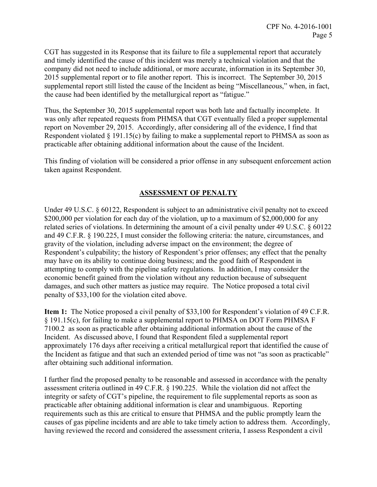CGT has suggested in its Response that its failure to file a supplemental report that accurately and timely identified the cause of this incident was merely a technical violation and that the company did not need to include additional, or more accurate, information in its September 30, 2015 supplemental report or to file another report. This is incorrect. The September 30, 2015 supplemental report still listed the cause of the Incident as being "Miscellaneous," when, in fact, the cause had been identified by the metallurgical report as "fatigue."

Thus, the September 30, 2015 supplemental report was both late and factually incomplete. It was only after repeated requests from PHMSA that CGT eventually filed a proper supplemental report on November 29, 2015. Accordingly, after considering all of the evidence, I find that Respondent violated  $\S 191.15(c)$  by failing to make a supplemental report to PHMSA as soon as practicable after obtaining additional information about the cause of the Incident.

This finding of violation will be considered a prior offense in any subsequent enforcement action taken against Respondent.

# **ASSESSMENT OF PENALTY**

Under 49 U.S.C. § 60122, Respondent is subject to an administrative civil penalty not to exceed \$200,000 per violation for each day of the violation, up to a maximum of \$2,000,000 for any related series of violations. In determining the amount of a civil penalty under 49 U.S.C. § 60122 and 49 C.F.R. § 190.225, I must consider the following criteria: the nature, circumstances, and gravity of the violation, including adverse impact on the environment; the degree of Respondent's culpability; the history of Respondent's prior offenses; any effect that the penalty may have on its ability to continue doing business; and the good faith of Respondent in attempting to comply with the pipeline safety regulations. In addition, I may consider the economic benefit gained from the violation without any reduction because of subsequent damages, and such other matters as justice may require. The Notice proposed a total civil penalty of \$33,100 for the violation cited above.

**Item 1:** The Notice proposed a civil penalty of \$33,100 for Respondent's violation of 49 C.F.R. § 191.15(c), for failing to make a supplemental report to PHMSA on DOT Form PHMSA F 7100.2 as soon as practicable after obtaining additional information about the cause of the Incident. As discussed above, I found that Respondent filed a supplemental report approximately 176 days after receiving a critical metallurgical report that identified the cause of the Incident as fatigue and that such an extended period of time was not "as soon as practicable" after obtaining such additional information.

I further find the proposed penalty to be reasonable and assessed in accordance with the penalty assessment criteria outlined in 49 C.F.R. § 190.225. While the violation did not affect the integrity or safety of CGT's pipeline, the requirement to file supplemental reports as soon as practicable after obtaining additional information is clear and unambiguous. Reporting requirements such as this are critical to ensure that PHMSA and the public promptly learn the causes of gas pipeline incidents and are able to take timely action to address them. Accordingly, having reviewed the record and considered the assessment criteria, I assess Respondent a civil